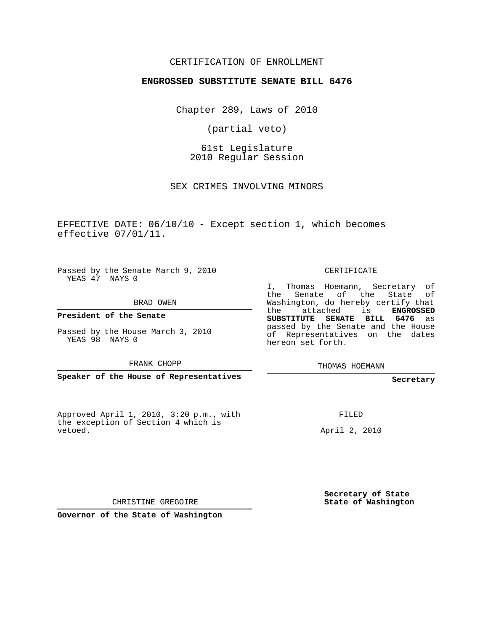## CERTIFICATION OF ENROLLMENT

## **ENGROSSED SUBSTITUTE SENATE BILL 6476**

Chapter 289, Laws of 2010

(partial veto)

61st Legislature 2010 Regular Session

SEX CRIMES INVOLVING MINORS

EFFECTIVE DATE: 06/10/10 - Except section 1, which becomes effective 07/01/11.

Passed by the Senate March 9, 2010 YEAS 47 NAYS 0

BRAD OWEN

**President of the Senate**

Passed by the House March 3, 2010

FRANK CHOPP

**Speaker of the House of Representatives**

Approved April 1, 2010, 3:20 p.m., with the exception of Section 4 which is vetoed.

CERTIFICATE

I, Thomas Hoemann, Secretary of the Senate of the State of Washington, do hereby certify that the attached is **ENGROSSED SUBSTITUTE SENATE BILL 6476** as passed by the Senate and the House of Representatives on the dates hereon set forth.

THOMAS HOEMANN

**Secretary**

FILED

April 2, 2010

**Secretary of State State of Washington**

CHRISTINE GREGOIRE

**Governor of the State of Washington**

YEAS 98 NAYS 0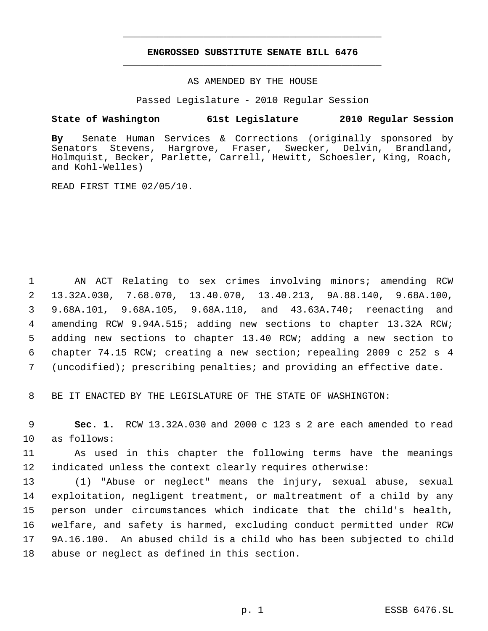## **ENGROSSED SUBSTITUTE SENATE BILL 6476** \_\_\_\_\_\_\_\_\_\_\_\_\_\_\_\_\_\_\_\_\_\_\_\_\_\_\_\_\_\_\_\_\_\_\_\_\_\_\_\_\_\_\_\_\_

\_\_\_\_\_\_\_\_\_\_\_\_\_\_\_\_\_\_\_\_\_\_\_\_\_\_\_\_\_\_\_\_\_\_\_\_\_\_\_\_\_\_\_\_\_

AS AMENDED BY THE HOUSE

Passed Legislature - 2010 Regular Session

## **State of Washington 61st Legislature 2010 Regular Session**

**By** Senate Human Services & Corrections (originally sponsored by Senators Stevens, Hargrove, Fraser, Swecker, Delvin, Brandland, Holmquist, Becker, Parlette, Carrell, Hewitt, Schoesler, King, Roach, and Kohl-Welles)

READ FIRST TIME 02/05/10.

1 AN ACT Relating to sex crimes involving minors; amending RCW 13.32A.030, 7.68.070, 13.40.070, 13.40.213, 9A.88.140, 9.68A.100, 9.68A.101, 9.68A.105, 9.68A.110, and 43.63A.740; reenacting and amending RCW 9.94A.515; adding new sections to chapter 13.32A RCW; adding new sections to chapter 13.40 RCW; adding a new section to chapter 74.15 RCW; creating a new section; repealing 2009 c 252 s 4 (uncodified); prescribing penalties; and providing an effective date.

8 BE IT ENACTED BY THE LEGISLATURE OF THE STATE OF WASHINGTON:

 9 **Sec. 1.** RCW 13.32A.030 and 2000 c 123 s 2 are each amended to read 10 as follows:

11 As used in this chapter the following terms have the meanings 12 indicated unless the context clearly requires otherwise:

 (1) "Abuse or neglect" means the injury, sexual abuse, sexual exploitation, negligent treatment, or maltreatment of a child by any person under circumstances which indicate that the child's health, welfare, and safety is harmed, excluding conduct permitted under RCW 9A.16.100. An abused child is a child who has been subjected to child abuse or neglect as defined in this section.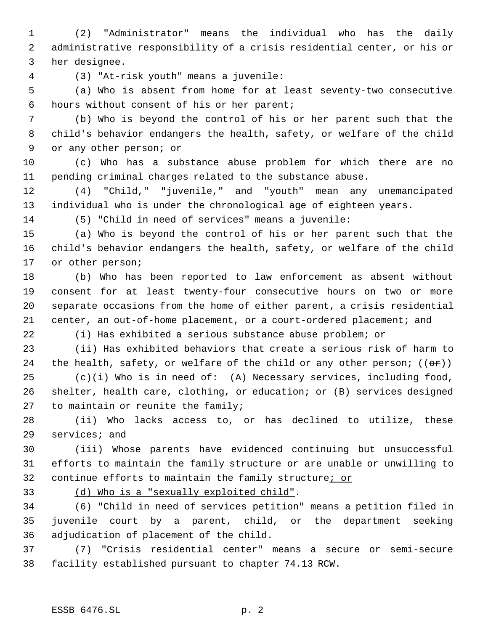(2) "Administrator" means the individual who has the daily administrative responsibility of a crisis residential center, or his or her designee.

(3) "At-risk youth" means a juvenile:

 (a) Who is absent from home for at least seventy-two consecutive hours without consent of his or her parent;

 (b) Who is beyond the control of his or her parent such that the child's behavior endangers the health, safety, or welfare of the child or any other person; or

 (c) Who has a substance abuse problem for which there are no pending criminal charges related to the substance abuse.

 (4) "Child," "juvenile," and "youth" mean any unemancipated individual who is under the chronological age of eighteen years.

(5) "Child in need of services" means a juvenile:

 (a) Who is beyond the control of his or her parent such that the child's behavior endangers the health, safety, or welfare of the child or other person;

 (b) Who has been reported to law enforcement as absent without consent for at least twenty-four consecutive hours on two or more separate occasions from the home of either parent, a crisis residential center, an out-of-home placement, or a court-ordered placement; and

(i) Has exhibited a serious substance abuse problem; or

 (ii) Has exhibited behaviors that create a serious risk of harm to 24 the health, safety, or welfare of the child or any other person;  $((\theta \cdot \hat{r}))$ 

 (c)(i) Who is in need of: (A) Necessary services, including food, shelter, health care, clothing, or education; or (B) services designed to maintain or reunite the family;

 (ii) Who lacks access to, or has declined to utilize, these services; and

 (iii) Whose parents have evidenced continuing but unsuccessful efforts to maintain the family structure or are unable or unwilling to continue efforts to maintain the family structure; or

(d) Who is a "sexually exploited child".

 (6) "Child in need of services petition" means a petition filed in juvenile court by a parent, child, or the department seeking adjudication of placement of the child.

 (7) "Crisis residential center" means a secure or semi-secure facility established pursuant to chapter 74.13 RCW.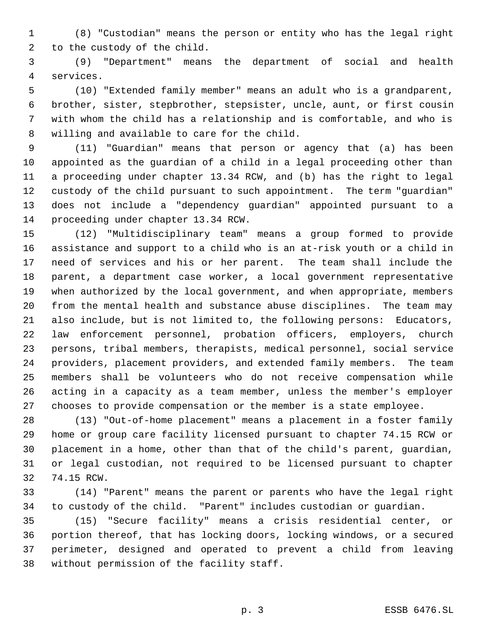(8) "Custodian" means the person or entity who has the legal right to the custody of the child.

 (9) "Department" means the department of social and health services.

 (10) "Extended family member" means an adult who is a grandparent, brother, sister, stepbrother, stepsister, uncle, aunt, or first cousin with whom the child has a relationship and is comfortable, and who is willing and available to care for the child.

 (11) "Guardian" means that person or agency that (a) has been appointed as the guardian of a child in a legal proceeding other than a proceeding under chapter 13.34 RCW, and (b) has the right to legal custody of the child pursuant to such appointment. The term "guardian" does not include a "dependency guardian" appointed pursuant to a proceeding under chapter 13.34 RCW.

 (12) "Multidisciplinary team" means a group formed to provide assistance and support to a child who is an at-risk youth or a child in need of services and his or her parent. The team shall include the parent, a department case worker, a local government representative when authorized by the local government, and when appropriate, members from the mental health and substance abuse disciplines. The team may also include, but is not limited to, the following persons: Educators, law enforcement personnel, probation officers, employers, church persons, tribal members, therapists, medical personnel, social service providers, placement providers, and extended family members. The team members shall be volunteers who do not receive compensation while acting in a capacity as a team member, unless the member's employer chooses to provide compensation or the member is a state employee.

 (13) "Out-of-home placement" means a placement in a foster family home or group care facility licensed pursuant to chapter 74.15 RCW or placement in a home, other than that of the child's parent, guardian, or legal custodian, not required to be licensed pursuant to chapter 74.15 RCW.

 (14) "Parent" means the parent or parents who have the legal right to custody of the child. "Parent" includes custodian or guardian.

 (15) "Secure facility" means a crisis residential center, or portion thereof, that has locking doors, locking windows, or a secured perimeter, designed and operated to prevent a child from leaving without permission of the facility staff.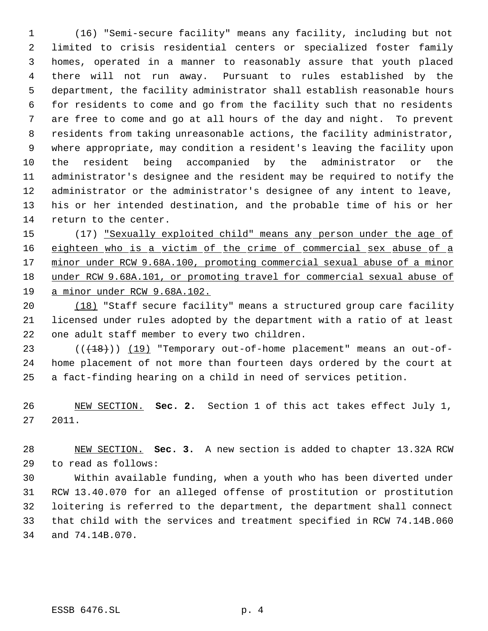(16) "Semi-secure facility" means any facility, including but not limited to crisis residential centers or specialized foster family homes, operated in a manner to reasonably assure that youth placed there will not run away. Pursuant to rules established by the department, the facility administrator shall establish reasonable hours for residents to come and go from the facility such that no residents are free to come and go at all hours of the day and night. To prevent residents from taking unreasonable actions, the facility administrator, where appropriate, may condition a resident's leaving the facility upon the resident being accompanied by the administrator or the administrator's designee and the resident may be required to notify the administrator or the administrator's designee of any intent to leave, his or her intended destination, and the probable time of his or her return to the center.

15 (17) "Sexually exploited child" means any person under the age of eighteen who is a victim of the crime of commercial sex abuse of a minor under RCW 9.68A.100, promoting commercial sexual abuse of a minor under RCW 9.68A.101, or promoting travel for commercial sexual abuse of a minor under RCW 9.68A.102.

 (18) "Staff secure facility" means a structured group care facility licensed under rules adopted by the department with a ratio of at least one adult staff member to every two children.

23  $((+18))$   $(19)$  "Temporary out-of-home placement" means an out-of- home placement of not more than fourteen days ordered by the court at a fact-finding hearing on a child in need of services petition.

 NEW SECTION. **Sec. 2.** Section 1 of this act takes effect July 1, 2011.

 NEW SECTION. **Sec. 3.** A new section is added to chapter 13.32A RCW to read as follows:

 Within available funding, when a youth who has been diverted under RCW 13.40.070 for an alleged offense of prostitution or prostitution loitering is referred to the department, the department shall connect that child with the services and treatment specified in RCW 74.14B.060 and 74.14B.070.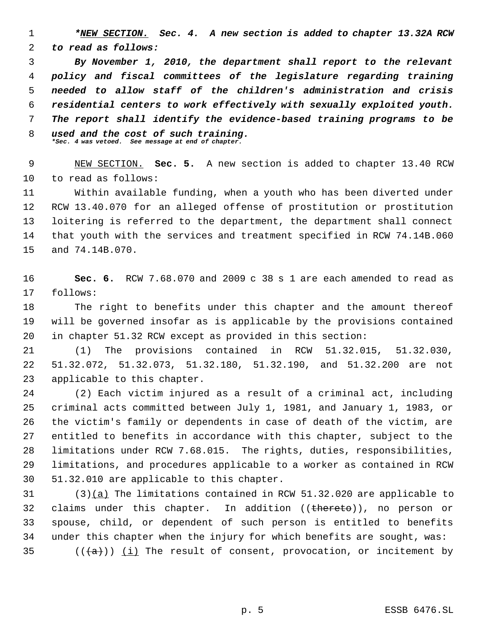*\*NEW SECTION. Sec. 4. A new section is added to chapter 13.32A RCW to read as follows:*

 *By November 1, 2010, the department shall report to the relevant policy and fiscal committees of the legislature regarding training needed to allow staff of the children's administration and crisis residential centers to work effectively with sexually exploited youth. The report shall identify the evidence-based training programs to be used and the cost of such training. \*Sec. 4 was vetoed. See message at end of chapter.*

 NEW SECTION. **Sec. 5.** A new section is added to chapter 13.40 RCW to read as follows:

 Within available funding, when a youth who has been diverted under RCW 13.40.070 for an alleged offense of prostitution or prostitution loitering is referred to the department, the department shall connect that youth with the services and treatment specified in RCW 74.14B.060 and 74.14B.070.

 **Sec. 6.** RCW 7.68.070 and 2009 c 38 s 1 are each amended to read as follows:

 The right to benefits under this chapter and the amount thereof will be governed insofar as is applicable by the provisions contained in chapter 51.32 RCW except as provided in this section:

 (1) The provisions contained in RCW 51.32.015, 51.32.030, 51.32.072, 51.32.073, 51.32.180, 51.32.190, and 51.32.200 are not applicable to this chapter.

 (2) Each victim injured as a result of a criminal act, including criminal acts committed between July 1, 1981, and January 1, 1983, or the victim's family or dependents in case of death of the victim, are entitled to benefits in accordance with this chapter, subject to the limitations under RCW 7.68.015. The rights, duties, responsibilities, limitations, and procedures applicable to a worker as contained in RCW 51.32.010 are applicable to this chapter.

 (3)(a) The limitations contained in RCW 51.32.020 are applicable to 32 claims under this chapter. In addition ((thereto)), no person or spouse, child, or dependent of such person is entitled to benefits under this chapter when the injury for which benefits are sought, was:  $((+a))$  (i) The result of consent, provocation, or incitement by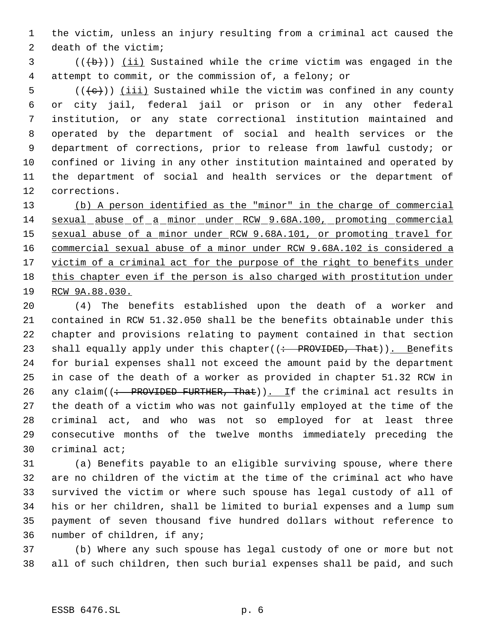the victim, unless an injury resulting from a criminal act caused the death of the victim;

 ( $(\overline{b})$ ) (ii) Sustained while the crime victim was engaged in the attempt to commit, or the commission of, a felony; or

 $((\{e\})$  (iii) Sustained while the victim was confined in any county or city jail, federal jail or prison or in any other federal institution, or any state correctional institution maintained and operated by the department of social and health services or the department of corrections, prior to release from lawful custody; or confined or living in any other institution maintained and operated by the department of social and health services or the department of corrections.

 (b) A person identified as the "minor" in the charge of commercial sexual abuse of a minor under RCW 9.68A.100, promoting commercial sexual abuse of a minor under RCW 9.68A.101, or promoting travel for commercial sexual abuse of a minor under RCW 9.68A.102 is considered a 17 victim of a criminal act for the purpose of the right to benefits under this chapter even if the person is also charged with prostitution under RCW 9A.88.030.

 (4) The benefits established upon the death of a worker and contained in RCW 51.32.050 shall be the benefits obtainable under this chapter and provisions relating to payment contained in that section 23 shall equally apply under this chapter((: PROVIDED, That)). Benefits for burial expenses shall not exceed the amount paid by the department in case of the death of a worker as provided in chapter 51.32 RCW in 26 any claim( $\left(\div\right)$  PROVIDED FURTHER, That)). If the criminal act results in the death of a victim who was not gainfully employed at the time of the criminal act, and who was not so employed for at least three consecutive months of the twelve months immediately preceding the criminal act;

 (a) Benefits payable to an eligible surviving spouse, where there are no children of the victim at the time of the criminal act who have survived the victim or where such spouse has legal custody of all of his or her children, shall be limited to burial expenses and a lump sum payment of seven thousand five hundred dollars without reference to number of children, if any;

 (b) Where any such spouse has legal custody of one or more but not all of such children, then such burial expenses shall be paid, and such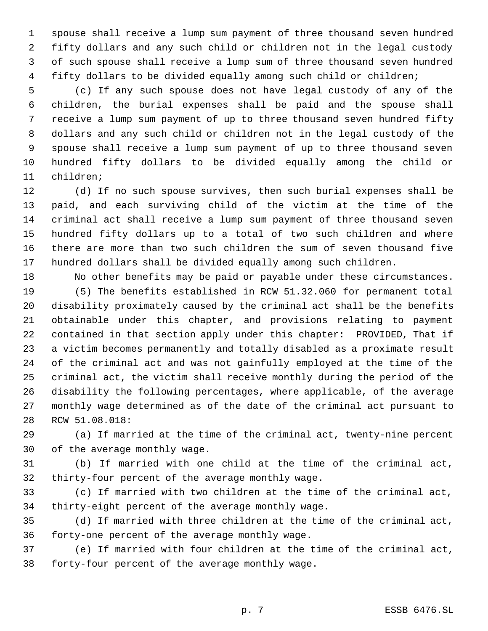spouse shall receive a lump sum payment of three thousand seven hundred fifty dollars and any such child or children not in the legal custody of such spouse shall receive a lump sum of three thousand seven hundred fifty dollars to be divided equally among such child or children;

 (c) If any such spouse does not have legal custody of any of the children, the burial expenses shall be paid and the spouse shall receive a lump sum payment of up to three thousand seven hundred fifty dollars and any such child or children not in the legal custody of the spouse shall receive a lump sum payment of up to three thousand seven hundred fifty dollars to be divided equally among the child or children;

 (d) If no such spouse survives, then such burial expenses shall be paid, and each surviving child of the victim at the time of the criminal act shall receive a lump sum payment of three thousand seven hundred fifty dollars up to a total of two such children and where there are more than two such children the sum of seven thousand five hundred dollars shall be divided equally among such children.

 No other benefits may be paid or payable under these circumstances. (5) The benefits established in RCW 51.32.060 for permanent total disability proximately caused by the criminal act shall be the benefits obtainable under this chapter, and provisions relating to payment contained in that section apply under this chapter: PROVIDED, That if a victim becomes permanently and totally disabled as a proximate result of the criminal act and was not gainfully employed at the time of the criminal act, the victim shall receive monthly during the period of the disability the following percentages, where applicable, of the average monthly wage determined as of the date of the criminal act pursuant to RCW 51.08.018:

 (a) If married at the time of the criminal act, twenty-nine percent of the average monthly wage.

 (b) If married with one child at the time of the criminal act, thirty-four percent of the average monthly wage.

 (c) If married with two children at the time of the criminal act, thirty-eight percent of the average monthly wage.

 (d) If married with three children at the time of the criminal act, forty-one percent of the average monthly wage.

 (e) If married with four children at the time of the criminal act, forty-four percent of the average monthly wage.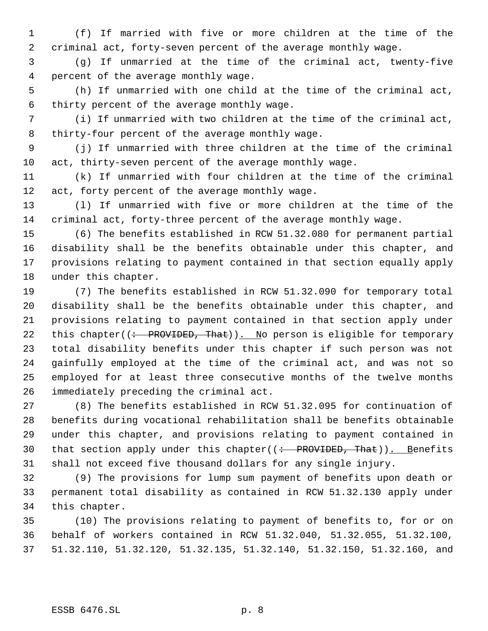(f) If married with five or more children at the time of the criminal act, forty-seven percent of the average monthly wage.

 (g) If unmarried at the time of the criminal act, twenty-five percent of the average monthly wage.

 (h) If unmarried with one child at the time of the criminal act, thirty percent of the average monthly wage.

 (i) If unmarried with two children at the time of the criminal act, thirty-four percent of the average monthly wage.

 (j) If unmarried with three children at the time of the criminal act, thirty-seven percent of the average monthly wage.

 (k) If unmarried with four children at the time of the criminal 12 act, forty percent of the average monthly wage.

 (l) If unmarried with five or more children at the time of the criminal act, forty-three percent of the average monthly wage.

 (6) The benefits established in RCW 51.32.080 for permanent partial disability shall be the benefits obtainable under this chapter, and provisions relating to payment contained in that section equally apply under this chapter.

 (7) The benefits established in RCW 51.32.090 for temporary total disability shall be the benefits obtainable under this chapter, and provisions relating to payment contained in that section apply under 22 this chapter( $\left(\div\right)$  PROVIDED, That)). No person is eligible for temporary total disability benefits under this chapter if such person was not gainfully employed at the time of the criminal act, and was not so employed for at least three consecutive months of the twelve months immediately preceding the criminal act.

 (8) The benefits established in RCW 51.32.095 for continuation of benefits during vocational rehabilitation shall be benefits obtainable under this chapter, and provisions relating to payment contained in 30 that section apply under this chapter( $($  : PROVIDED, That)). Benefits shall not exceed five thousand dollars for any single injury.

 (9) The provisions for lump sum payment of benefits upon death or permanent total disability as contained in RCW 51.32.130 apply under this chapter.

 (10) The provisions relating to payment of benefits to, for or on behalf of workers contained in RCW 51.32.040, 51.32.055, 51.32.100, 51.32.110, 51.32.120, 51.32.135, 51.32.140, 51.32.150, 51.32.160, and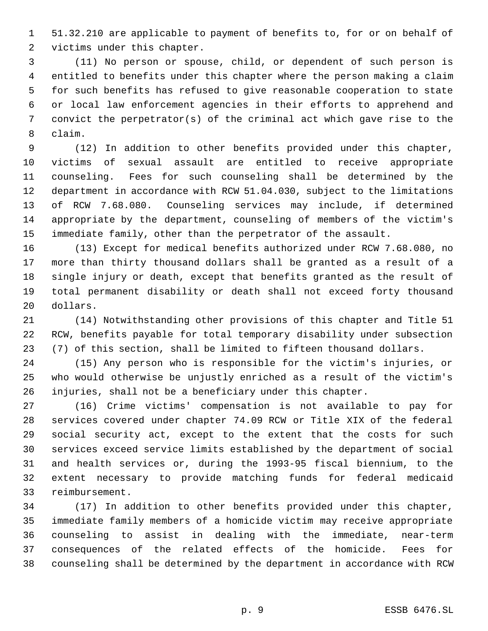51.32.210 are applicable to payment of benefits to, for or on behalf of victims under this chapter.

 (11) No person or spouse, child, or dependent of such person is entitled to benefits under this chapter where the person making a claim for such benefits has refused to give reasonable cooperation to state or local law enforcement agencies in their efforts to apprehend and convict the perpetrator(s) of the criminal act which gave rise to the claim.

 (12) In addition to other benefits provided under this chapter, victims of sexual assault are entitled to receive appropriate counseling. Fees for such counseling shall be determined by the department in accordance with RCW 51.04.030, subject to the limitations of RCW 7.68.080. Counseling services may include, if determined appropriate by the department, counseling of members of the victim's immediate family, other than the perpetrator of the assault.

 (13) Except for medical benefits authorized under RCW 7.68.080, no more than thirty thousand dollars shall be granted as a result of a single injury or death, except that benefits granted as the result of total permanent disability or death shall not exceed forty thousand dollars.

 (14) Notwithstanding other provisions of this chapter and Title 51 RCW, benefits payable for total temporary disability under subsection (7) of this section, shall be limited to fifteen thousand dollars.

 (15) Any person who is responsible for the victim's injuries, or who would otherwise be unjustly enriched as a result of the victim's injuries, shall not be a beneficiary under this chapter.

 (16) Crime victims' compensation is not available to pay for services covered under chapter 74.09 RCW or Title XIX of the federal social security act, except to the extent that the costs for such services exceed service limits established by the department of social and health services or, during the 1993-95 fiscal biennium, to the extent necessary to provide matching funds for federal medicaid reimbursement.

 (17) In addition to other benefits provided under this chapter, immediate family members of a homicide victim may receive appropriate counseling to assist in dealing with the immediate, near-term consequences of the related effects of the homicide. Fees for counseling shall be determined by the department in accordance with RCW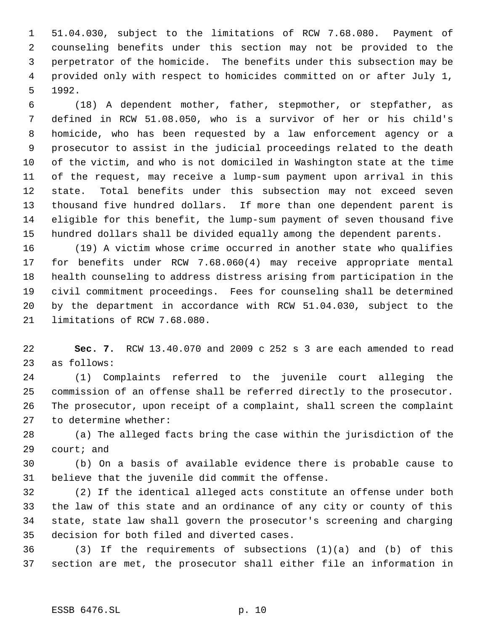51.04.030, subject to the limitations of RCW 7.68.080. Payment of counseling benefits under this section may not be provided to the perpetrator of the homicide. The benefits under this subsection may be provided only with respect to homicides committed on or after July 1, 1992.

 (18) A dependent mother, father, stepmother, or stepfather, as defined in RCW 51.08.050, who is a survivor of her or his child's homicide, who has been requested by a law enforcement agency or a prosecutor to assist in the judicial proceedings related to the death of the victim, and who is not domiciled in Washington state at the time of the request, may receive a lump-sum payment upon arrival in this state. Total benefits under this subsection may not exceed seven thousand five hundred dollars. If more than one dependent parent is eligible for this benefit, the lump-sum payment of seven thousand five hundred dollars shall be divided equally among the dependent parents.

 (19) A victim whose crime occurred in another state who qualifies for benefits under RCW 7.68.060(4) may receive appropriate mental health counseling to address distress arising from participation in the civil commitment proceedings. Fees for counseling shall be determined by the department in accordance with RCW 51.04.030, subject to the limitations of RCW 7.68.080.

 **Sec. 7.** RCW 13.40.070 and 2009 c 252 s 3 are each amended to read as follows:

 (1) Complaints referred to the juvenile court alleging the commission of an offense shall be referred directly to the prosecutor. The prosecutor, upon receipt of a complaint, shall screen the complaint to determine whether:

 (a) The alleged facts bring the case within the jurisdiction of the court; and

 (b) On a basis of available evidence there is probable cause to believe that the juvenile did commit the offense.

 (2) If the identical alleged acts constitute an offense under both the law of this state and an ordinance of any city or county of this state, state law shall govern the prosecutor's screening and charging decision for both filed and diverted cases.

 (3) If the requirements of subsections (1)(a) and (b) of this section are met, the prosecutor shall either file an information in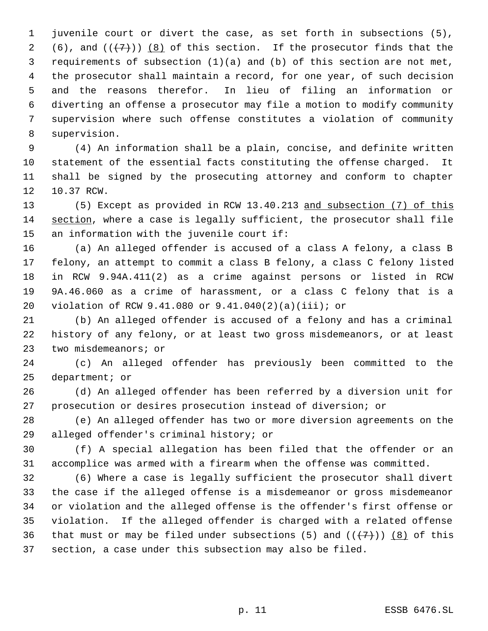juvenile court or divert the case, as set forth in subsections (5), 2 (6), and  $((+7))$   $(8)$  of this section. If the prosecutor finds that the requirements of subsection (1)(a) and (b) of this section are not met, the prosecutor shall maintain a record, for one year, of such decision and the reasons therefor. In lieu of filing an information or diverting an offense a prosecutor may file a motion to modify community supervision where such offense constitutes a violation of community supervision.

 (4) An information shall be a plain, concise, and definite written statement of the essential facts constituting the offense charged. It shall be signed by the prosecuting attorney and conform to chapter 10.37 RCW.

 (5) Except as provided in RCW 13.40.213 and subsection (7) of this section, where a case is legally sufficient, the prosecutor shall file an information with the juvenile court if:

 (a) An alleged offender is accused of a class A felony, a class B felony, an attempt to commit a class B felony, a class C felony listed in RCW 9.94A.411(2) as a crime against persons or listed in RCW 9A.46.060 as a crime of harassment, or a class C felony that is a violation of RCW 9.41.080 or 9.41.040(2)(a)(iii); or

 (b) An alleged offender is accused of a felony and has a criminal history of any felony, or at least two gross misdemeanors, or at least two misdemeanors; or

 (c) An alleged offender has previously been committed to the department; or

 (d) An alleged offender has been referred by a diversion unit for prosecution or desires prosecution instead of diversion; or

 (e) An alleged offender has two or more diversion agreements on the alleged offender's criminal history; or

 (f) A special allegation has been filed that the offender or an accomplice was armed with a firearm when the offense was committed.

 (6) Where a case is legally sufficient the prosecutor shall divert the case if the alleged offense is a misdemeanor or gross misdemeanor or violation and the alleged offense is the offender's first offense or violation. If the alleged offender is charged with a related offense 36 that must or may be filed under subsections (5) and  $((+7))$  (8) of this section, a case under this subsection may also be filed.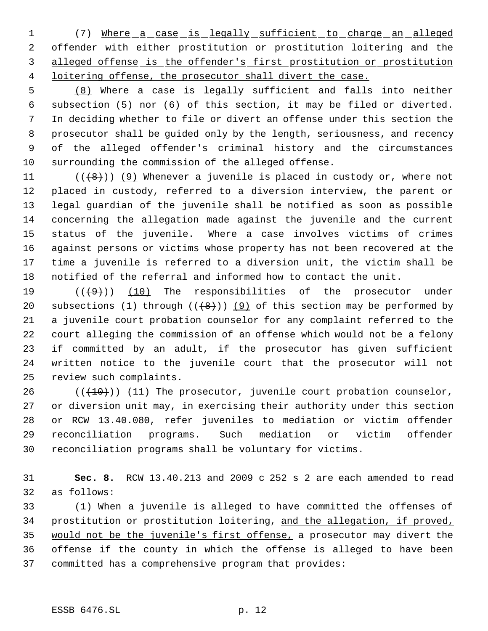1 (7) Where a case is legally sufficient to charge an alleged 2 offender with either prostitution or prostitution loitering and the alleged offense is the offender's first prostitution or prostitution 4 loitering offense, the prosecutor shall divert the case.

 (8) Where a case is legally sufficient and falls into neither subsection (5) nor (6) of this section, it may be filed or diverted. In deciding whether to file or divert an offense under this section the prosecutor shall be guided only by the length, seriousness, and recency of the alleged offender's criminal history and the circumstances surrounding the commission of the alleged offense.

 $((\{8\}) \ (9)$  Whenever a juvenile is placed in custody or, where not placed in custody, referred to a diversion interview, the parent or legal guardian of the juvenile shall be notified as soon as possible concerning the allegation made against the juvenile and the current status of the juvenile. Where a case involves victims of crimes against persons or victims whose property has not been recovered at the time a juvenile is referred to a diversion unit, the victim shall be notified of the referral and informed how to contact the unit.

 $((+9))$  (10) The responsibilities of the prosecutor under 20 subsections (1) through  $((+8)^n)$  (9) of this section may be performed by a juvenile court probation counselor for any complaint referred to the court alleging the commission of an offense which would not be a felony if committed by an adult, if the prosecutor has given sufficient written notice to the juvenile court that the prosecutor will not review such complaints.

 $((+10))$   $(11)$  The prosecutor, juvenile court probation counselor, or diversion unit may, in exercising their authority under this section or RCW 13.40.080, refer juveniles to mediation or victim offender reconciliation programs. Such mediation or victim offender reconciliation programs shall be voluntary for victims.

 **Sec. 8.** RCW 13.40.213 and 2009 c 252 s 2 are each amended to read as follows:

 (1) When a juvenile is alleged to have committed the offenses of prostitution or prostitution loitering, and the allegation, if proved, would not be the juvenile's first offense, a prosecutor may divert the offense if the county in which the offense is alleged to have been committed has a comprehensive program that provides: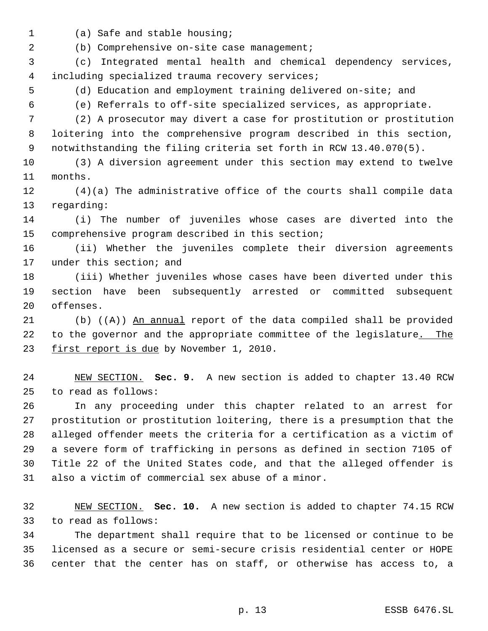- 
- (a) Safe and stable housing;

(b) Comprehensive on-site case management;

 (c) Integrated mental health and chemical dependency services, including specialized trauma recovery services;

(d) Education and employment training delivered on-site; and

(e) Referrals to off-site specialized services, as appropriate.

 (2) A prosecutor may divert a case for prostitution or prostitution loitering into the comprehensive program described in this section, notwithstanding the filing criteria set forth in RCW 13.40.070(5).

 (3) A diversion agreement under this section may extend to twelve months.

 (4)(a) The administrative office of the courts shall compile data regarding:

 (i) The number of juveniles whose cases are diverted into the comprehensive program described in this section;

 (ii) Whether the juveniles complete their diversion agreements under this section; and

 (iii) Whether juveniles whose cases have been diverted under this section have been subsequently arrested or committed subsequent offenses.

 (b) ((A)) An annual report of the data compiled shall be provided 22 to the governor and the appropriate committee of the legislature. The 23 first report is due by November 1, 2010.

 NEW SECTION. **Sec. 9.** A new section is added to chapter 13.40 RCW to read as follows:

 In any proceeding under this chapter related to an arrest for prostitution or prostitution loitering, there is a presumption that the alleged offender meets the criteria for a certification as a victim of a severe form of trafficking in persons as defined in section 7105 of Title 22 of the United States code, and that the alleged offender is also a victim of commercial sex abuse of a minor.

 NEW SECTION. **Sec. 10.** A new section is added to chapter 74.15 RCW to read as follows:

 The department shall require that to be licensed or continue to be licensed as a secure or semi-secure crisis residential center or HOPE center that the center has on staff, or otherwise has access to, a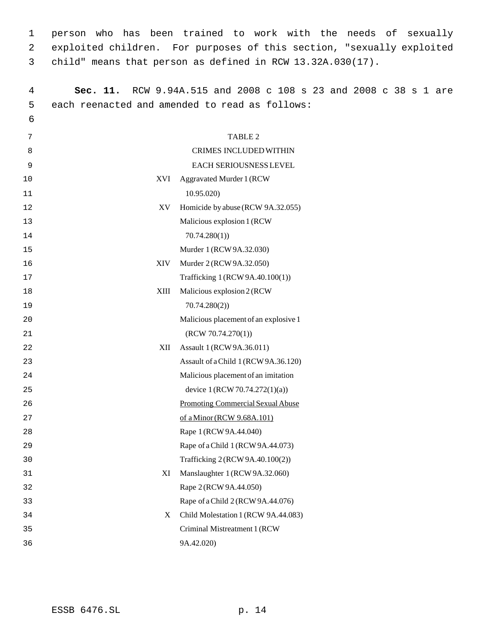person who has been trained to work with the needs of sexually exploited children. For purposes of this section, "sexually exploited child" means that person as defined in RCW 13.32A.030(17).

| $\overline{4}$ | Sec. 11.    | RCW 9.94A.515 and 2008 c 108 s 23 and 2008 c 38 s 1 are |
|----------------|-------------|---------------------------------------------------------|
| 5              |             | each reenacted and amended to read as follows:          |
| 6              |             |                                                         |
| 7              |             | TABLE 2                                                 |
| 8              |             | CRIMES INCLUDED WITHIN                                  |
| 9              |             | EACH SERIOUSNESS LEVEL                                  |
| 10             | XVI         | Aggravated Murder 1 (RCW                                |
| 11             |             | 10.95.020                                               |
| 12             | XV          | Homicide by abuse (RCW 9A.32.055)                       |
| 13             |             | Malicious explosion 1 (RCW                              |
| 14             |             | 70.74.280(1)                                            |
| 15             |             | Murder 1 (RCW 9A.32.030)                                |
| 16             | <b>XIV</b>  | Murder 2 (RCW 9A.32.050)                                |
| 17             |             | Trafficking 1 (RCW 9A.40.100(1))                        |
| 18             | <b>XIII</b> | Malicious explosion 2 (RCW                              |
| 19             |             | 70.74.280(2)                                            |
| 20             |             | Malicious placement of an explosive 1                   |
| 21             |             | (RCW 70.74.270(1))                                      |
| 22             | XІІ         | Assault 1 (RCW 9A.36.011)                               |
| 23             |             | Assault of a Child 1 (RCW 9A.36.120)                    |
| 24             |             | Malicious placement of an imitation                     |
| 25             |             | device 1 (RCW 70.74.272(1)(a))                          |
| 26             |             | <b>Promoting Commercial Sexual Abuse</b>                |
| 27             |             | of a Minor (RCW 9.68A.101)                              |
| 28             |             | Rape 1 (RCW 9A.44.040)                                  |
| 29             |             | Rape of a Child 1 (RCW 9A.44.073)                       |
| 30             |             | Trafficking 2 (RCW 9A.40.100(2))                        |
| 31             | XI          | Manslaughter 1 (RCW 9A.32.060)                          |
| 32             |             | Rape 2 (RCW 9A.44.050)                                  |
| 33             |             | Rape of a Child 2 (RCW 9A.44.076)                       |
| 34             | X           | Child Molestation 1 (RCW 9A.44.083)                     |
| 35             |             | Criminal Mistreatment 1 (RCW                            |
| 36             |             | 9A.42.020)                                              |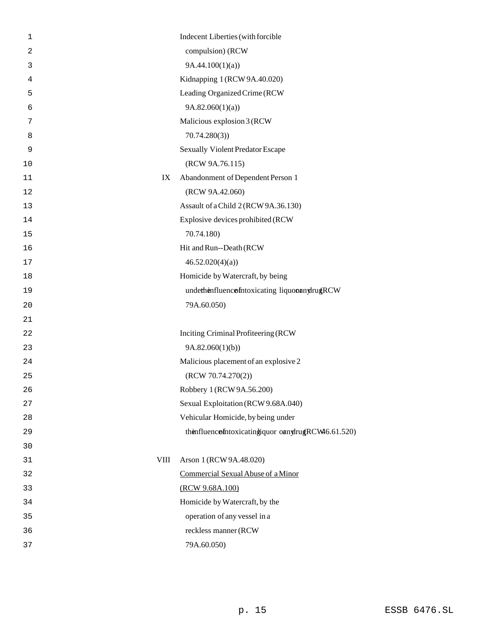| $\mathbf{1}$   | Indecent Liberties (with forcible                  |
|----------------|----------------------------------------------------|
| $\overline{2}$ | compulsion) (RCW                                   |
| 3              | 9A.44.100(1)(a)                                    |
| 4              | Kidnapping 1 (RCW 9A.40.020)                       |
| 5              | Leading Organized Crime (RCW                       |
| 6              | 9A.82.060(1)(a)                                    |
| 7              | Malicious explosion 3 (RCW                         |
| 8              | 70.74.280(3)                                       |
| 9              | Sexually Violent Predator Escape                   |
| 10             | (RCW 9A.76.115)                                    |
| 11             | Abandonment of Dependent Person 1<br>IX            |
| 12             | (RCW 9A.42.060)                                    |
| 13             | Assault of a Child 2 (RCW 9A.36.130)               |
| 14             | Explosive devices prohibited (RCW                  |
| 15             | 70.74.180)                                         |
| 16             | Hit and Run--Death (RCW                            |
| 17             | 46.52.020(4)(a)                                    |
| 18             | Homicide by Watercraft, by being                   |
| 19             | underhenfluencofntoxicating liquoonnylrugRCW       |
| 20             | 79A.60.050)                                        |
| 21             |                                                    |
| 22             | Inciting Criminal Profiteering (RCW                |
| 23             | 9A.82.060(1)(b)                                    |
| 24             | Malicious placement of an explosive 2              |
| 25             | (RCW 70.74.270(2))                                 |
| 26             | Robbery 1 (RCW 9A.56.200)                          |
| 27             | Sexual Exploitation (RCW 9.68A.040)                |
| 28             | Vehicular Homicide, by being under                 |
| 29             | thenfluencefntoxicatingiquor onnylrugRCW46.61.520) |
| 30             |                                                    |
| 31             | <b>VIII</b><br>Arson 1 (RCW 9A.48.020)             |
| 32             | Commercial Sexual Abuse of a Minor                 |
| 33             | (RCW 9.68A.100)                                    |
| 34             | Homicide by Watercraft, by the                     |
| 35             | operation of any vessel in a                       |
| 36             | reckless manner (RCW                               |
| 37             | 79A.60.050)                                        |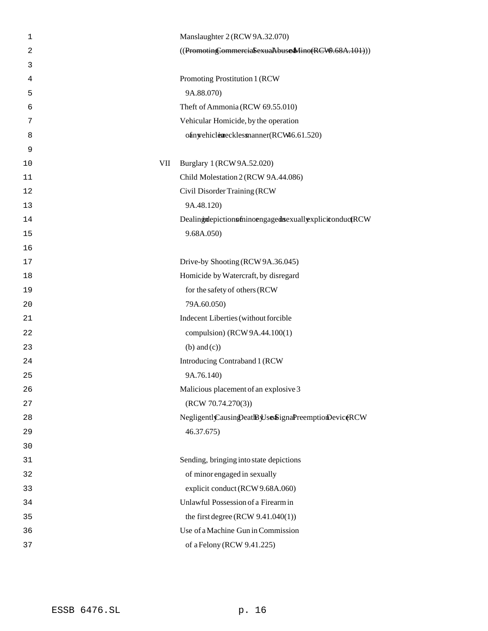| $\mathbf 1$ | Manslaughter 2 (RCW 9A.32.070)                         |
|-------------|--------------------------------------------------------|
| 2           | ((Promoting CommerciaSexuaAbuseMino(RCW0.68A.101)))    |
| 3           |                                                        |
| 4           | Promoting Prostitution 1 (RCW                          |
| 5           | 9A.88.070)                                             |
| 6           | Theft of Ammonia (RCW 69.55.010)                       |
| 7           | Vehicular Homicide, by the operation                   |
| 8           | ofinyehiclearecklessmanner(RCW46.61.520)               |
| 9           |                                                        |
| VII<br>10   | Burglary 1 (RCW 9A.52.020)                             |
| 11          | Child Molestation 2 (RCW 9A.44.086)                    |
| 12          | Civil Disorder Training (RCW                           |
| 13          | 9A.48.120)                                             |
| 14          | DealingtdepictionsfninoengagedsexuallyxplicitonductRCW |
| 15          | 9.68A.050)                                             |
| 16          |                                                        |
| 17          | Drive-by Shooting (RCW 9A.36.045)                      |
| 18          | Homicide by Watercraft, by disregard                   |
| 19          | for the safety of others (RCW                          |
| 20          | 79A.60.050)                                            |
| 21          | Indecent Liberties (without forcible                   |
| 22          | compulsion) (RCW 9A.44.100(1)                          |
| 23          | $(b)$ and $(c)$ )                                      |
| 24          | Introducing Contraband 1 (RCW                          |
| 25          | 9A.76.140)                                             |
| 26          | Malicious placement of an explosive 3                  |
| 27          | (RCW 70.74.270(3))                                     |
| 28          | Negligentl Causin Deat By Use SignaPreemptionDeviceRCW |
| 29          | 46.37.675)                                             |
| 30          |                                                        |
| 31          | Sending, bringing into state depictions                |
| 32          | of minor engaged in sexually                           |
| 33          | explicit conduct (RCW 9.68A.060)                       |
| 34          | Unlawful Possession of a Firearm in                    |
| 35          | the first degree (RCW $9.41.040(1)$ )                  |
| 36          | Use of a Machine Gun in Commission                     |
| 37          | of a Felony (RCW 9.41.225)                             |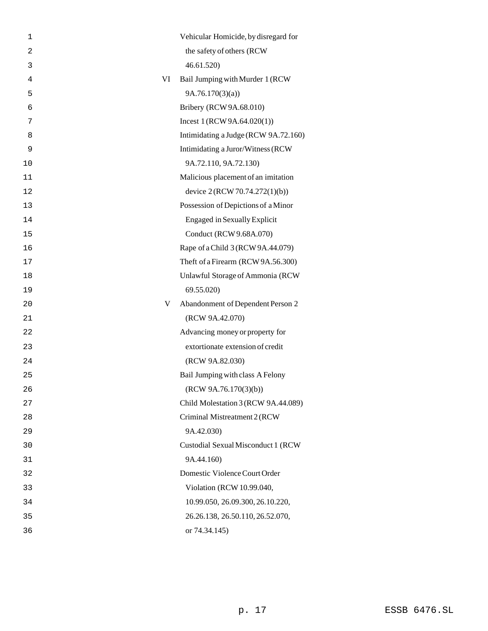| 1              |    | Vehicular Homicide, by disregard for |
|----------------|----|--------------------------------------|
| $\overline{2}$ |    | the safety of others (RCW            |
| 3              |    | 46.61.520)                           |
| $\overline{4}$ | VI | Bail Jumping with Murder 1 (RCW      |
| 5              |    | 9A.76.170(3)(a)                      |
| 6              |    | Bribery (RCW 9A.68.010)              |
| 7              |    | Incest $1 (RCW 9A.64.020(1))$        |
| 8              |    | Intimidating a Judge (RCW 9A.72.160) |
| 9              |    | Intimidating a Juror/Witness (RCW    |
| 10             |    | 9A.72.110, 9A.72.130)                |
| 11             |    | Malicious placement of an imitation  |
| 12             |    | device 2 (RCW 70.74.272(1)(b))       |
| 13             |    | Possession of Depictions of a Minor  |
| 14             |    | <b>Engaged in Sexually Explicit</b>  |
| 15             |    | Conduct (RCW 9.68A.070)              |
| 16             |    | Rape of a Child 3 (RCW 9A.44.079)    |
| 17             |    | Theft of a Firearm (RCW 9A.56.300)   |
| 18             |    | Unlawful Storage of Ammonia (RCW     |
| 19             |    | 69.55.020)                           |
| 20             | V  | Abandonment of Dependent Person 2    |
| 21             |    | (RCW 9A.42.070)                      |
| 22             |    | Advancing money or property for      |
| 23             |    | extortionate extension of credit     |
| 24             |    | (RCW 9A.82.030)                      |
| 25             |    | Bail Jumping with class A Felony     |
| 26             |    | (RCW 9A.76.170(3)(b))                |
| 27             |    | Child Molestation 3 (RCW 9A.44.089)  |
| 28             |    | Criminal Mistreatment 2 (RCW         |
| 29             |    | 9A.42.030)                           |
| 30             |    | Custodial Sexual Misconduct 1 (RCW   |
| 31             |    | 9A.44.160)                           |
| 32             |    | Domestic Violence Court Order        |
| 33             |    | Violation (RCW 10.99.040,            |
| 34             |    | 10.99.050, 26.09.300, 26.10.220,     |
| 35             |    | 26.26.138, 26.50.110, 26.52.070,     |
| 36             |    | or 74.34.145)                        |
|                |    |                                      |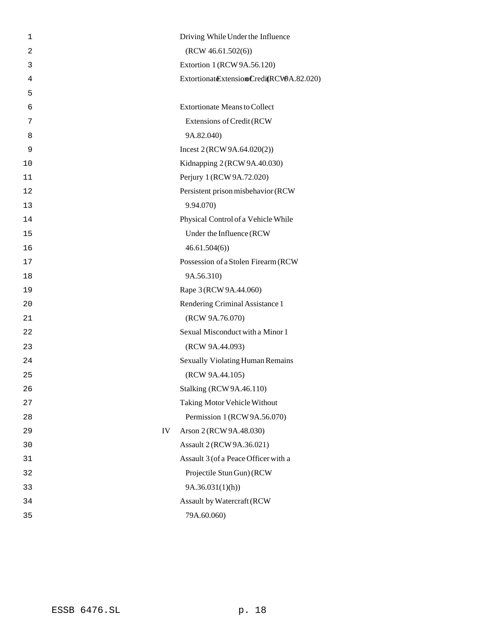| 1              |    | Driving While Under the Influence          |
|----------------|----|--------------------------------------------|
| $\overline{2}$ |    | (RCW 46.61.502(6))                         |
| 3              |    | Extortion 1 (RCW 9A.56.120)                |
| 4              |    | Extortionat Extension Credit (RCWA.82.020) |
| 5              |    |                                            |
| 6              |    | <b>Extortionate Means to Collect</b>       |
| 7              |    | Extensions of Credit (RCW                  |
| 8              |    | 9A.82.040)                                 |
| 9              |    | Incest $2 (RCW 9A.64.020(2))$              |
| 10             |    | Kidnapping 2 (RCW 9A.40.030)               |
| 11             |    | Perjury 1 (RCW 9A.72.020)                  |
| 12             |    | Persistent prison misbehavior (RCW         |
| 13             |    | 9.94.070)                                  |
| 14             |    | Physical Control of a Vehicle While        |
| 15             |    | Under the Influence (RCW                   |
| 16             |    | 46.61.504(6)                               |
| 17             |    | Possession of a Stolen Firearm (RCW        |
| 18             |    | 9A.56.310)                                 |
| 19             |    | Rape 3 (RCW 9A.44.060)                     |
| 20             |    | Rendering Criminal Assistance 1            |
| 21             |    | (RCW 9A.76.070)                            |
| 22             |    | Sexual Misconduct with a Minor 1           |
| 23             |    | (RCW 9A.44.093)                            |
| 24             |    | Sexually Violating Human Remains           |
| 25             |    | (RCW 9A.44.105)                            |
| 26             |    | Stalking (RCW 9A.46.110)                   |
| 27             |    | Taking Motor Vehicle Without               |
| 28             |    | Permission 1 (RCW 9A.56.070)               |
| 29             | IV | Arson 2 (RCW 9A.48.030)                    |
| 30             |    | Assault 2 (RCW 9A.36.021)                  |
| 31             |    | Assault 3 (of a Peace Officer with a       |
| 32             |    | Projectile Stun Gun) (RCW                  |
| 33             |    | 9A.36.031(1)(h)                            |
| 34             |    | Assault by Watercraft (RCW                 |
| 35             |    | 79A.60.060)                                |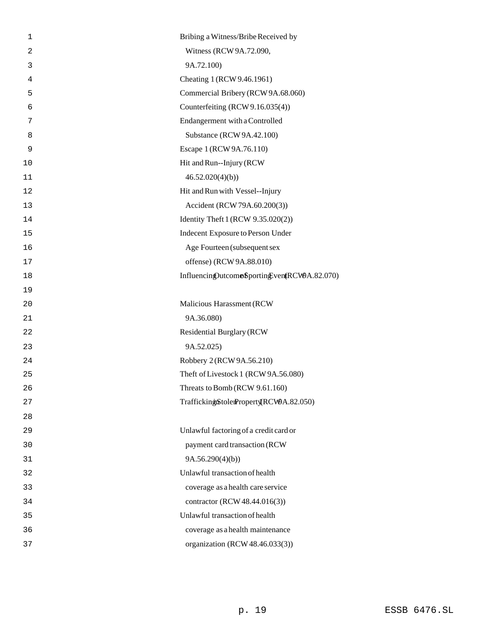| 1              | Bribing a Witness/Bribe Received by          |
|----------------|----------------------------------------------|
| $\overline{a}$ | Witness (RCW 9A.72.090,                      |
| 3              | 9A.72.100)                                   |
| 4              | Cheating 1 (RCW 9.46.1961)                   |
| 5              | Commercial Bribery (RCW 9A.68.060)           |
| 6              | Counterfeiting (RCW 9.16.035(4))             |
| 7              | Endangerment with a Controlled               |
| 8              | Substance (RCW 9A.42.100)                    |
| 9              | Escape 1 (RCW 9A.76.110)                     |
| 10             | Hit and Run--Injury (RCW                     |
| 11             | 46.52.020(4)(b)                              |
| 12             | Hit and Run with Vessel--Injury              |
| 13             | Accident (RCW 79A.60.200(3))                 |
| 14             | Identity Theft 1 (RCW 9.35.020(2))           |
| 15             | Indecent Exposure to Person Under            |
| 16             | Age Fourteen (subsequent sex                 |
| 17             | offense) (RCW 9A.88.010)                     |
| 18             | InfluencingOutcomeSportingEventRCW9A.82.070) |
| 19             |                                              |
|                |                                              |
| 20             | Malicious Harassment (RCW                    |
| 21             | 9A.36.080)                                   |
| 22             | <b>Residential Burglary (RCW</b>             |
| 23             | 9A.52.025)                                   |
| 24             | Robbery 2 (RCW 9A.56.210)                    |
| 25             | Theft of Livestock 1 (RCW 9A.56.080)         |
| 26             | Threats to Bomb (RCW 9.61.160)               |
| 27             | TraffickingiStolerProperty(RCW9A.82.050)     |
| 28             |                                              |
| 29             | Unlawful factoring of a credit card or       |
| 30             | payment card transaction (RCW                |
| 31             | 9A.56.290(4)(b)                              |
| 32             | Unlawful transaction of health               |
| 33             | coverage as a health care service            |
| 34             | contractor (RCW 48.44.016(3))                |
| 35             | Unlawful transaction of health               |
| 36             | coverage as a health maintenance             |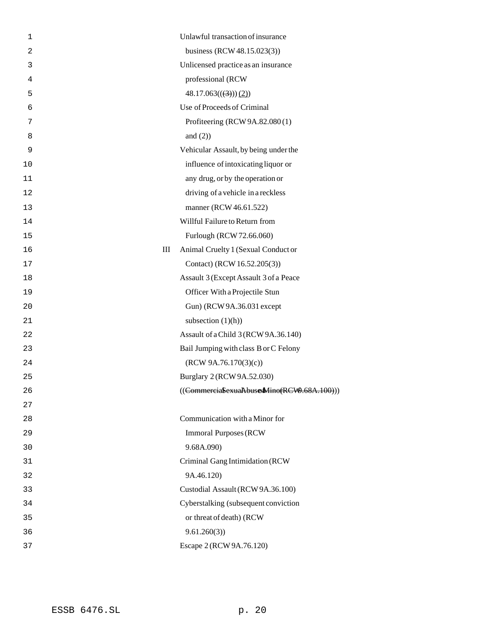| 1              | Unlawful transaction of insurance          |
|----------------|--------------------------------------------|
| $\overline{2}$ | business (RCW 48.15.023(3))                |
| 3              | Unlicensed practice as an insurance        |
| 4              | professional (RCW                          |
| 5              | $48.17.063((3))$ (2))                      |
| 6              | Use of Proceeds of Criminal                |
| 7              | Profiteering (RCW 9A.82.080(1)             |
| 8              | and $(2)$ )                                |
| 9              | Vehicular Assault, by being under the      |
| 10             | influence of intoxicating liquor or        |
| 11             | any drug, or by the operation or           |
| 12             | driving of a vehicle in a reckless         |
| 13             | manner (RCW 46.61.522)                     |
| 14             | Willful Failure to Return from             |
| 15             | Furlough (RCW 72.66.060)                   |
| 16             | III<br>Animal Cruelty 1 (Sexual Conduct or |
| 17             | Contact) (RCW 16.52.205(3))                |
| 18             | Assault 3 (Except Assault 3 of a Peace     |
| 19             | Officer With a Projectile Stun             |
| 20             | Gun) (RCW 9A.36.031 except                 |
| 21             | subsection $(1)(h)$                        |
| 22             | Assault of a Child 3 (RCW 9A.36.140)       |
| 23             | Bail Jumping with class B or C Felony      |
| 24             | (RCW 9A.76.170(3)(c))                      |
| 25             | Burglary 2 (RCW 9A.52.030)                 |
| 26             | ((CommerciaSexuaAbuseMino(RCW.68A.100)))   |
| 27             |                                            |
| 28             | Communication with a Minor for             |
| 29             | <b>Immoral Purposes (RCW)</b>              |
| 30             | 9.68A.090)                                 |
| 31             | Criminal Gang Intimidation (RCW            |
| 32             | 9A.46.120)                                 |
| 33             | Custodial Assault (RCW 9A.36.100)          |
| 34             | Cyberstalking (subsequent conviction       |
| 35             | or threat of death) (RCW                   |
| 36             | 9.61.260(3)                                |
| 37             | Escape 2 (RCW 9A.76.120)                   |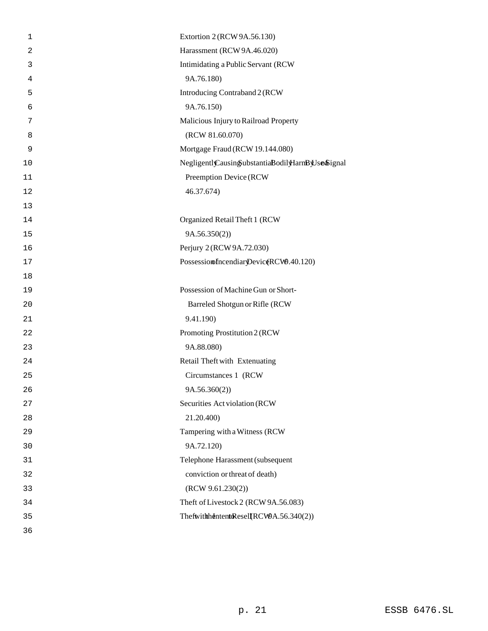| $\mathbf 1$    | Extortion 2 (RCW 9A.56.130)                        |
|----------------|----------------------------------------------------|
| $\overline{2}$ | Harassment (RCW 9A.46.020)                         |
| 3              | Intimidating a Public Servant (RCW                 |
| 4              | 9A.76.180)                                         |
| 5              | Introducing Contraband 2 (RCW                      |
| 6              | 9A.76.150)                                         |
| 7              | Malicious Injury to Railroad Property              |
| 8              | (RCW 81.60.070)                                    |
| $\mathsf 9$    | Mortgage Fraud (RCW 19.144.080)                    |
| 10             | NegligentlyCausingSubstantiaBodilyHarnByUsenSignal |
| 11             | Preemption Device (RCW                             |
| 12             | 46.37.674)                                         |
| 13             |                                                    |
| 14             | Organized Retail Theft 1 (RCW                      |
| 15             | 9A.56.350(2))                                      |
| 16             | Perjury 2 (RCW 9A.72.030)                          |
| 17             | PossessionofncendiaryDeviceRCW9.40.120)            |
| 18             |                                                    |
| 19             | Possession of Machine Gun or Short-                |
| 20             | Barreled Shotgun or Rifle (RCW                     |
| 21             | 9.41.190)                                          |
| 22             | Promoting Prostitution 2 (RCW                      |
| 23             | 9A.88.080)                                         |
| 24             | Retail Theft with Extenuating                      |
| 25             | Circumstances 1 (RCW                               |
| 26             | 9A.56.360(2))                                      |
| 27             | Securities Act violation (RCW                      |
| 28             | 21.20.400)                                         |
| 29             | Tampering with a Witness (RCW                      |
| 30             | 9A.72.120)                                         |
| 31             | Telephone Harassment (subsequent                   |
| 32             | conviction or threat of death)                     |
| 33             | (RCW 9.61.230(2))                                  |
| 34             | Theft of Livestock 2 (RCW 9A.56.083)               |
| 35             | ThefwithhdintentoResell(RCW9A.56.340(2))           |
| 36             |                                                    |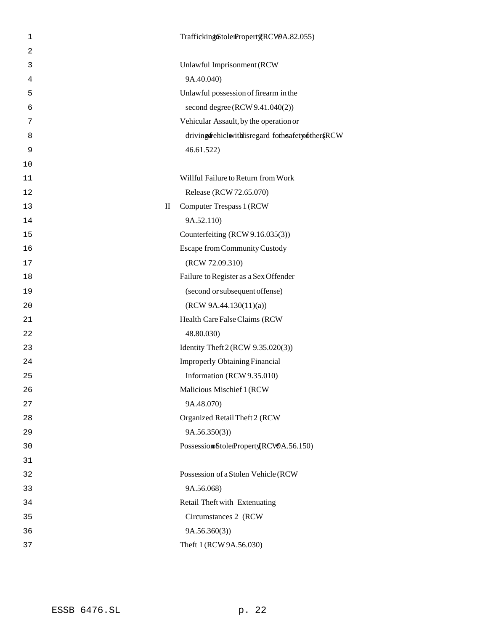| 1              | TraffickingiStolerPropertgRCW9A.82.055)                |
|----------------|--------------------------------------------------------|
| $\overline{2}$ |                                                        |
| 3              | Unlawful Imprisonment (RCW                             |
| 4              | 9A.40.040)                                             |
| 5              | Unlawful possession of firearm in the                  |
| 6              | second degree (RCW 9.41.040(2))                        |
| 7              | Vehicular Assault, by the operation or                 |
| 8              | driving fehiclevithis regard for heafety of the r (RCW |
| 9              | 46.61.522)                                             |
| 10             |                                                        |
| 11             | Willful Failure to Return from Work                    |
| 12             | Release (RCW 72.65.070)                                |
| 13             | $\rm _{II}$<br>Computer Trespass 1 (RCW                |
| 14             | 9A.52.110)                                             |
| 15             | Counterfeiting (RCW 9.16.035(3))                       |
| 16             | Escape from Community Custody                          |
| 17             | (RCW 72.09.310)                                        |
| 18             | Failure to Register as a Sex Offender                  |
| 19             | (second or subsequent offense)                         |
| 20             | (RCW 9A.44.130(11)(a))                                 |
| 21             | Health Care False Claims (RCW                          |
| 22             | 48.80.030)                                             |
| 23             | Identity Theft 2 (RCW 9.35.020(3))                     |
| 24             | <b>Improperly Obtaining Financial</b>                  |
| 25             | Information (RCW 9.35.010)                             |
| 26             | Malicious Mischief 1 (RCW                              |
| 27             | 9A.48.070)                                             |
| 28             | Organized Retail Theft 2 (RCW                          |
| 29             | 9A.56.350(3)                                           |
| 30             | Possession StolenProperty(RCW9A.56.150)                |
| 31             |                                                        |
| 32             | Possession of a Stolen Vehicle (RCW                    |
| 33             | 9A.56.068)                                             |
| 34             | Retail Theft with Extenuating                          |
| 35             | Circumstances 2 (RCW                                   |
| 36             | 9A.56.360(3)                                           |
| 37             | Theft 1 (RCW 9A.56.030)                                |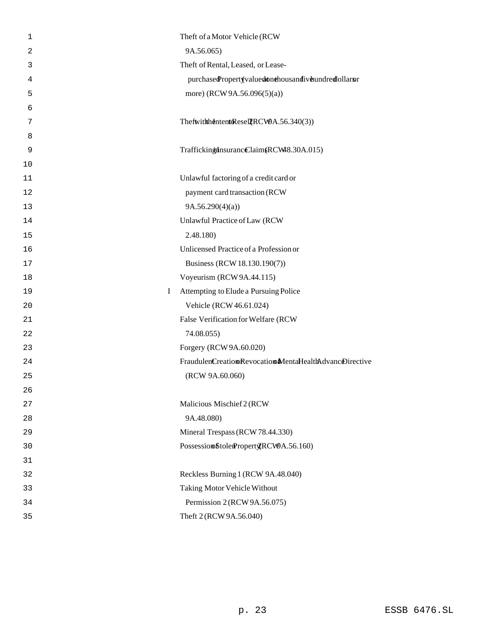| $\mathbf 1$ | Theft of a Motor Vehicle (RCW                         |
|-------------|-------------------------------------------------------|
| 2           | 9A.56.065)                                            |
| 3           | Theft of Rental, Leased, or Lease-                    |
| 4           | purchasedPropertyvaluedonthousandiveundredollarsr     |
| 5           | more) (RCW 9A.56.096(5)(a))                           |
| 6           |                                                       |
| 7           | ThefwithhdintentoResellRCW9A.56.340(3))               |
| 8           |                                                       |
| 9           | TraffickinghnsurancClaim (RCW48.30A.015)              |
| 10          |                                                       |
| 11          | Unlawful factoring of a credit card or                |
| 12          | payment card transaction (RCW                         |
| 13          | 9A.56.290(4)(a)                                       |
| 14          | Unlawful Practice of Law (RCW                         |
| 15          | 2.48.180)                                             |
| 16          | Unlicensed Practice of a Profession or                |
| 17          | Business (RCW 18.130.190(7))                          |
| 18          | Voyeurism (RCW 9A.44.115)                             |
| 19          | Attempting to Elude a Pursuing Police<br>I            |
| 20          | Vehicle (RCW 46.61.024)                               |
| 21          | False Verification for Welfare (RCW                   |
| 22          | 74.08.055)                                            |
| 23          | Forgery (RCW 9A.60.020)                               |
| 24          | FraudulenCreationRevocationMentaHealthAdvancDirective |
| 25          | (RCW 9A.60.060)                                       |
| 26          |                                                       |
| 27          | Malicious Mischief 2 (RCW                             |
| 28          | 9A.48.080)                                            |
| 29          | Mineral Trespass (RCW 78.44.330)                      |
| 30          | Possession StolenPropert CRCW9A.56.160)               |
| 31          |                                                       |
| 32          | Reckless Burning 1 (RCW 9A.48.040)                    |
| 33          | Taking Motor Vehicle Without                          |
| 34          | Permission 2 (RCW 9A.56.075)                          |
| 35          | Theft 2 (RCW 9A.56.040)                               |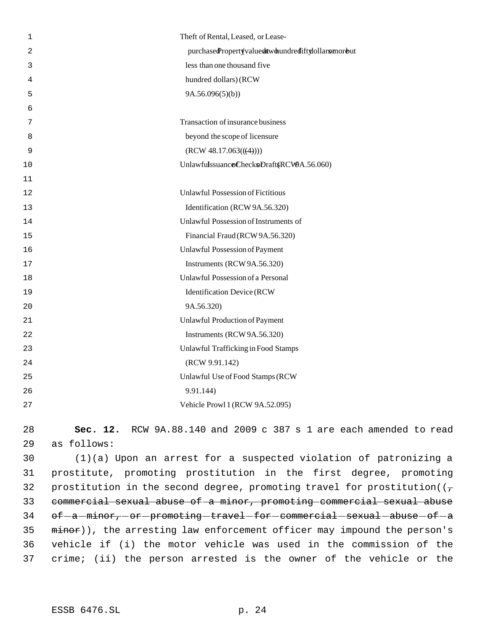| 1  | Theft of Rental, Leased, or Lease-                                      |
|----|-------------------------------------------------------------------------|
| 2  | purchasedPropertyvaluedtwobundrediftylollarsmorbut                      |
| 3  | less than one thousand five                                             |
| 4  | hundred dollars) (RCW                                                   |
| 5  | 9A.56.096(5)(b)                                                         |
| 6  |                                                                         |
| 7  | Transaction of insurance business                                       |
| 8  | beyond the scope of licensure                                           |
| 9  | (RCW 48.17.063((4))                                                     |
| 10 | UnlawfulssuanceChecksDraft(RCWA.56.060)                                 |
| 11 |                                                                         |
| 12 | <b>Unlawful Possession of Fictitious</b>                                |
| 13 | Identification (RCW 9A.56.320)                                          |
| 14 | Unlawful Possession of Instruments of                                   |
| 15 | Financial Fraud (RCW 9A.56.320)                                         |
| 16 | Unlawful Possession of Payment                                          |
| 17 | Instruments (RCW 9A.56.320)                                             |
| 18 | Unlawful Possession of a Personal                                       |
| 19 | <b>Identification Device (RCW</b>                                       |
| 20 | 9A.56.320)                                                              |
| 21 | Unlawful Production of Payment                                          |
| 22 | Instruments (RCW 9A.56.320)                                             |
| 23 | Unlawful Trafficking in Food Stamps                                     |
| 24 | (RCW 9.91.142)                                                          |
| 25 | Unlawful Use of Food Stamps (RCW                                        |
| 26 | 9.91.144)                                                               |
| 27 | Vehicle Prowl 1 (RCW 9A.52.095)                                         |
| 28 | RCW 9A.88.140 and 2009 c 387 s 1 are each amended to read<br>Sec. 12.   |
| 29 | as follows:                                                             |
| 30 | $(1)(a)$ Upon an arrest for a suspected violation of patronizing a      |
| 31 | prostitute, promoting prostitution in the first degree, promoting       |
| マウ | prostitution in the second degree promoting travel for prostitution ((- |

32 prostitution in the second degree, promoting travel for prostitution( $(\tau$  commercial sexual abuse of a minor, promoting commercial sexual abuse of  $-a$  -minor, or promoting -travel -for -commercial -sexual -abuse -of -a 35 minor)), the arresting law enforcement officer may impound the person's vehicle if (i) the motor vehicle was used in the commission of the crime; (ii) the person arrested is the owner of the vehicle or the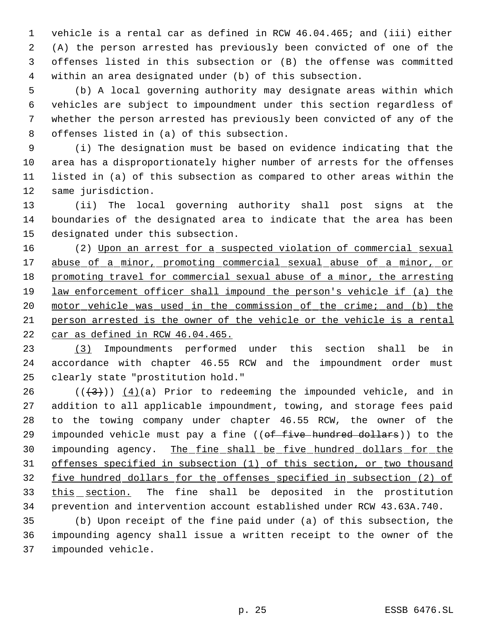vehicle is a rental car as defined in RCW 46.04.465; and (iii) either (A) the person arrested has previously been convicted of one of the offenses listed in this subsection or (B) the offense was committed within an area designated under (b) of this subsection.

 (b) A local governing authority may designate areas within which vehicles are subject to impoundment under this section regardless of whether the person arrested has previously been convicted of any of the offenses listed in (a) of this subsection.

 (i) The designation must be based on evidence indicating that the area has a disproportionately higher number of arrests for the offenses listed in (a) of this subsection as compared to other areas within the same jurisdiction.

 (ii) The local governing authority shall post signs at the boundaries of the designated area to indicate that the area has been designated under this subsection.

 (2) Upon an arrest for a suspected violation of commercial sexual abuse of a minor, promoting commercial sexual abuse of a minor, or promoting travel for commercial sexual abuse of a minor, the arresting law enforcement officer shall impound the person's vehicle if (a) the 20 motor vehicle was used in the commission of the crime; and (b) the person arrested is the owner of the vehicle or the vehicle is a rental car as defined in RCW 46.04.465.

 (3) Impoundments performed under this section shall be in accordance with chapter 46.55 RCW and the impoundment order must clearly state "prostitution hold."

 $((+3))$  (4)(a) Prior to redeeming the impounded vehicle, and in addition to all applicable impoundment, towing, and storage fees paid to the towing company under chapter 46.55 RCW, the owner of the 29 impounded vehicle must pay a fine ((of five hundred dollars)) to the impounding agency. The fine shall be five hundred dollars for the offenses specified in subsection (1) of this section, or two thousand five hundred dollars for the offenses specified in subsection (2) of this section. The fine shall be deposited in the prostitution prevention and intervention account established under RCW 43.63A.740.

 (b) Upon receipt of the fine paid under (a) of this subsection, the impounding agency shall issue a written receipt to the owner of the impounded vehicle.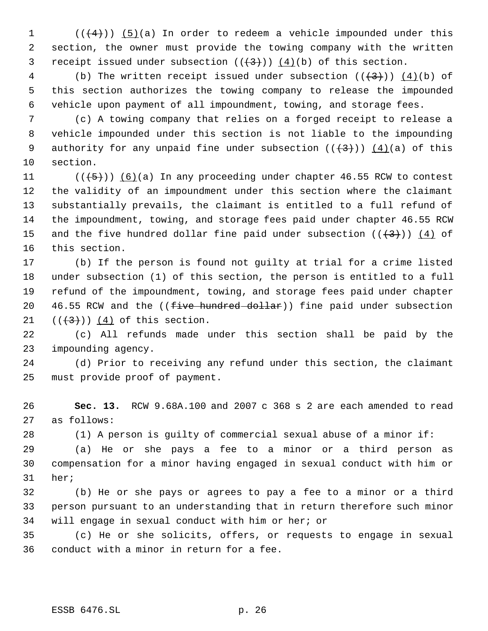1  $((+4))$   $(5)(a)$  In order to redeem a vehicle impounded under this section, the owner must provide the towing company with the written 3 receipt issued under subsection  $((+3))$  (4)(b) of this section.

4 (b) The written receipt issued under subsection  $((+3))$   $(4)(b)$  of this section authorizes the towing company to release the impounded vehicle upon payment of all impoundment, towing, and storage fees.

 (c) A towing company that relies on a forged receipt to release a vehicle impounded under this section is not liable to the impounding 9 authority for any unpaid fine under subsection  $((+3))$   $(4)(a)$  of this section.

 $((\overline{5}))$   $(6)(a)$  In any proceeding under chapter 46.55 RCW to contest the validity of an impoundment under this section where the claimant substantially prevails, the claimant is entitled to a full refund of the impoundment, towing, and storage fees paid under chapter 46.55 RCW 15 and the five hundred dollar fine paid under subsection  $((+3+))$   $(4)$  of this section.

 (b) If the person is found not guilty at trial for a crime listed under subsection (1) of this section, the person is entitled to a full refund of the impoundment, towing, and storage fees paid under chapter  $-46.55$  RCW and the (( $f<sup>2</sup>$  ive hundred dollar)) fine paid under subsection  $((+3))$   $(4)$  of this section.

 (c) All refunds made under this section shall be paid by the impounding agency.

 (d) Prior to receiving any refund under this section, the claimant must provide proof of payment.

 **Sec. 13.** RCW 9.68A.100 and 2007 c 368 s 2 are each amended to read as follows:

(1) A person is guilty of commercial sexual abuse of a minor if:

 (a) He or she pays a fee to a minor or a third person as compensation for a minor having engaged in sexual conduct with him or her;

 (b) He or she pays or agrees to pay a fee to a minor or a third person pursuant to an understanding that in return therefore such minor will engage in sexual conduct with him or her; or

 (c) He or she solicits, offers, or requests to engage in sexual conduct with a minor in return for a fee.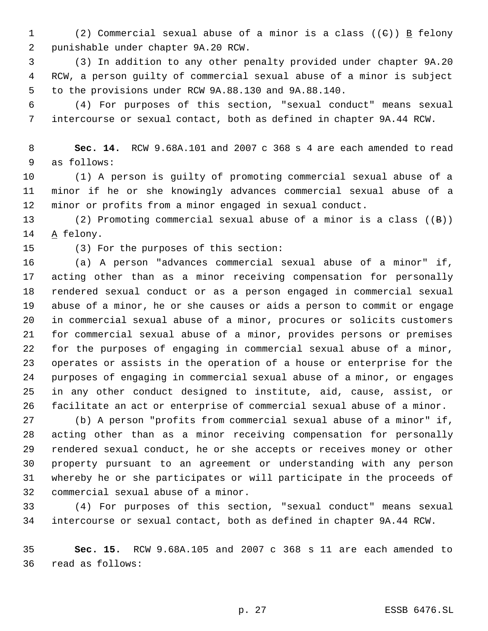1 (2) Commercial sexual abuse of a minor is a class  $((e))$  B felony punishable under chapter 9A.20 RCW.

 (3) In addition to any other penalty provided under chapter 9A.20 RCW, a person guilty of commercial sexual abuse of a minor is subject to the provisions under RCW 9A.88.130 and 9A.88.140.

 (4) For purposes of this section, "sexual conduct" means sexual intercourse or sexual contact, both as defined in chapter 9A.44 RCW.

 **Sec. 14.** RCW 9.68A.101 and 2007 c 368 s 4 are each amended to read as follows:

 (1) A person is guilty of promoting commercial sexual abuse of a minor if he or she knowingly advances commercial sexual abuse of a minor or profits from a minor engaged in sexual conduct.

 (2) Promoting commercial sexual abuse of a minor is a class ((B)) A felony.

(3) For the purposes of this section:

 (a) A person "advances commercial sexual abuse of a minor" if, acting other than as a minor receiving compensation for personally rendered sexual conduct or as a person engaged in commercial sexual abuse of a minor, he or she causes or aids a person to commit or engage in commercial sexual abuse of a minor, procures or solicits customers for commercial sexual abuse of a minor, provides persons or premises for the purposes of engaging in commercial sexual abuse of a minor, operates or assists in the operation of a house or enterprise for the purposes of engaging in commercial sexual abuse of a minor, or engages in any other conduct designed to institute, aid, cause, assist, or facilitate an act or enterprise of commercial sexual abuse of a minor.

 (b) A person "profits from commercial sexual abuse of a minor" if, acting other than as a minor receiving compensation for personally rendered sexual conduct, he or she accepts or receives money or other property pursuant to an agreement or understanding with any person whereby he or she participates or will participate in the proceeds of commercial sexual abuse of a minor.

 (4) For purposes of this section, "sexual conduct" means sexual intercourse or sexual contact, both as defined in chapter 9A.44 RCW.

 **Sec. 15.** RCW 9.68A.105 and 2007 c 368 s 11 are each amended to read as follows: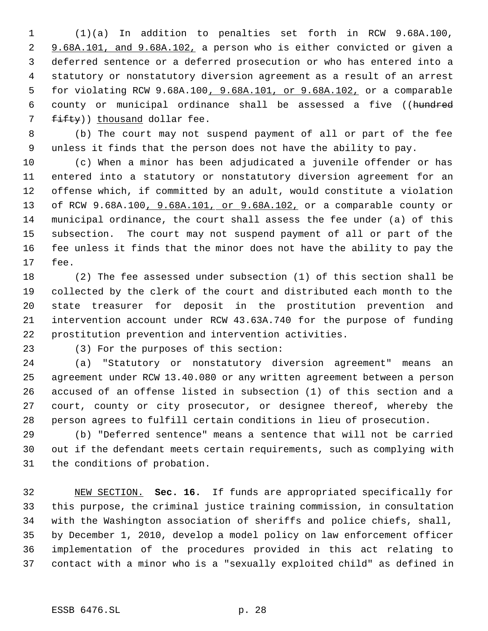(1)(a) In addition to penalties set forth in RCW 9.68A.100, 2 9.68A.101, and 9.68A.102, a person who is either convicted or given a deferred sentence or a deferred prosecution or who has entered into a statutory or nonstatutory diversion agreement as a result of an arrest for violating RCW 9.68A.100, 9.68A.101, or 9.68A.102, or a comparable county or municipal ordinance shall be assessed a five ((hundred fifty)) thousand dollar fee.

 (b) The court may not suspend payment of all or part of the fee unless it finds that the person does not have the ability to pay.

 (c) When a minor has been adjudicated a juvenile offender or has entered into a statutory or nonstatutory diversion agreement for an offense which, if committed by an adult, would constitute a violation of RCW 9.68A.100, 9.68A.101, or 9.68A.102, or a comparable county or municipal ordinance, the court shall assess the fee under (a) of this subsection. The court may not suspend payment of all or part of the fee unless it finds that the minor does not have the ability to pay the fee.

 (2) The fee assessed under subsection (1) of this section shall be collected by the clerk of the court and distributed each month to the state treasurer for deposit in the prostitution prevention and intervention account under RCW 43.63A.740 for the purpose of funding prostitution prevention and intervention activities.

(3) For the purposes of this section:

 (a) "Statutory or nonstatutory diversion agreement" means an agreement under RCW 13.40.080 or any written agreement between a person accused of an offense listed in subsection (1) of this section and a court, county or city prosecutor, or designee thereof, whereby the person agrees to fulfill certain conditions in lieu of prosecution.

 (b) "Deferred sentence" means a sentence that will not be carried out if the defendant meets certain requirements, such as complying with the conditions of probation.

 NEW SECTION. **Sec. 16.** If funds are appropriated specifically for this purpose, the criminal justice training commission, in consultation with the Washington association of sheriffs and police chiefs, shall, by December 1, 2010, develop a model policy on law enforcement officer implementation of the procedures provided in this act relating to contact with a minor who is a "sexually exploited child" as defined in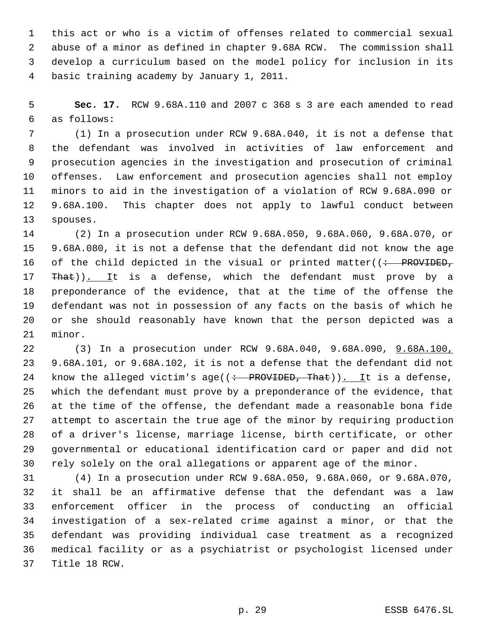this act or who is a victim of offenses related to commercial sexual abuse of a minor as defined in chapter 9.68A RCW. The commission shall develop a curriculum based on the model policy for inclusion in its basic training academy by January 1, 2011.

 **Sec. 17.** RCW 9.68A.110 and 2007 c 368 s 3 are each amended to read as follows:

 (1) In a prosecution under RCW 9.68A.040, it is not a defense that the defendant was involved in activities of law enforcement and prosecution agencies in the investigation and prosecution of criminal offenses. Law enforcement and prosecution agencies shall not employ minors to aid in the investigation of a violation of RCW 9.68A.090 or 9.68A.100. This chapter does not apply to lawful conduct between spouses.

 (2) In a prosecution under RCW 9.68A.050, 9.68A.060, 9.68A.070, or 9.68A.080, it is not a defense that the defendant did not know the age 16 of the child depicted in the visual or printed matter( $\left( \div - \text{PROVIDED}_{\tau} \right)$ 17 That)). It is a defense, which the defendant must prove by a preponderance of the evidence, that at the time of the offense the defendant was not in possession of any facts on the basis of which he or she should reasonably have known that the person depicted was a minor.

 (3) In a prosecution under RCW 9.68A.040, 9.68A.090, 9.68A.100, 9.68A.101, or 9.68A.102, it is not a defense that the defendant did not 24 know the alleged victim's age( $(\div PROVIDED, That)$ ). It is a defense, which the defendant must prove by a preponderance of the evidence, that at the time of the offense, the defendant made a reasonable bona fide attempt to ascertain the true age of the minor by requiring production of a driver's license, marriage license, birth certificate, or other governmental or educational identification card or paper and did not rely solely on the oral allegations or apparent age of the minor.

 (4) In a prosecution under RCW 9.68A.050, 9.68A.060, or 9.68A.070, it shall be an affirmative defense that the defendant was a law enforcement officer in the process of conducting an official investigation of a sex-related crime against a minor, or that the defendant was providing individual case treatment as a recognized medical facility or as a psychiatrist or psychologist licensed under Title 18 RCW.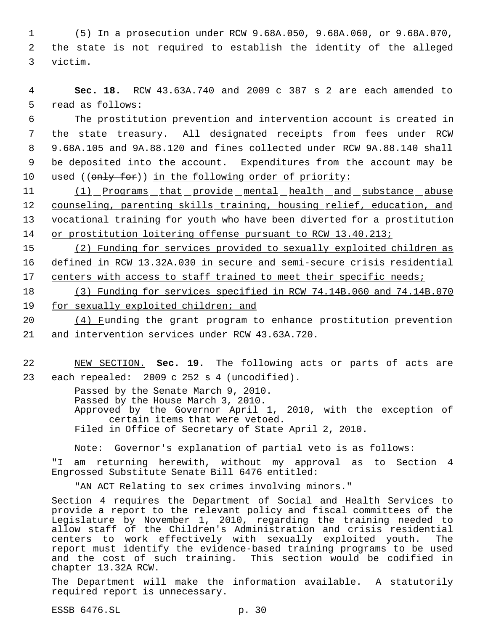1 (5) In a prosecution under RCW 9.68A.050, 9.68A.060, or 9.68A.070, 2 the state is not required to establish the identity of the alleged 3 victim.

 4 **Sec. 18.** RCW 43.63A.740 and 2009 c 387 s 2 are each amended to 5 read as follows:

 The prostitution prevention and intervention account is created in the state treasury. All designated receipts from fees under RCW 9.68A.105 and 9A.88.120 and fines collected under RCW 9A.88.140 shall be deposited into the account. Expenditures from the account may be 10 used ((only for)) in the following order of priority:

11 (1) Programs that provide mental health and substance abuse 12 counseling, parenting skills training, housing relief, education, and 13 vocational training for youth who have been diverted for a prostitution 14 or prostitution loitering offense pursuant to RCW 13.40.213;

15 (2) Funding for services provided to sexually exploited children as 16 defined in RCW 13.32A.030 in secure and semi-secure crisis residential 17 centers with access to staff trained to meet their specific needs;

18 (3) Funding for services specified in RCW 74.14B.060 and 74.14B.070 19 for sexually exploited children; and

20 (4) Funding the grant program to enhance prostitution prevention 21 and intervention services under RCW 43.63A.720.

22 NEW SECTION. **Sec. 19.** The following acts or parts of acts are 23 each repealed: 2009 c 252 s 4 (uncodified).

> Passed by the Senate March 9, 2010. Passed by the House March 3, 2010. Approved by the Governor April 1, 2010, with the exception of certain items that were vetoed. Filed in Office of Secretary of State April 2, 2010.

Note: Governor's explanation of partial veto is as follows:

"I am returning herewith, without my approval as to Section 4 Engrossed Substitute Senate Bill 6476 entitled:

"AN ACT Relating to sex crimes involving minors."

Section 4 requires the Department of Social and Health Services to provide a report to the relevant policy and fiscal committees of the Legislature by November 1, 2010, regarding the training needed to allow staff of the Children's Administration and crisis residential centers to work effectively with sexually exploited youth. The report must identify the evidence-based training programs to be used and the cost of such training. This section would be codified in chapter 13.32A RCW.

The Department will make the information available. A statutorily required report is unnecessary.

ESSB 6476.SL p. 30